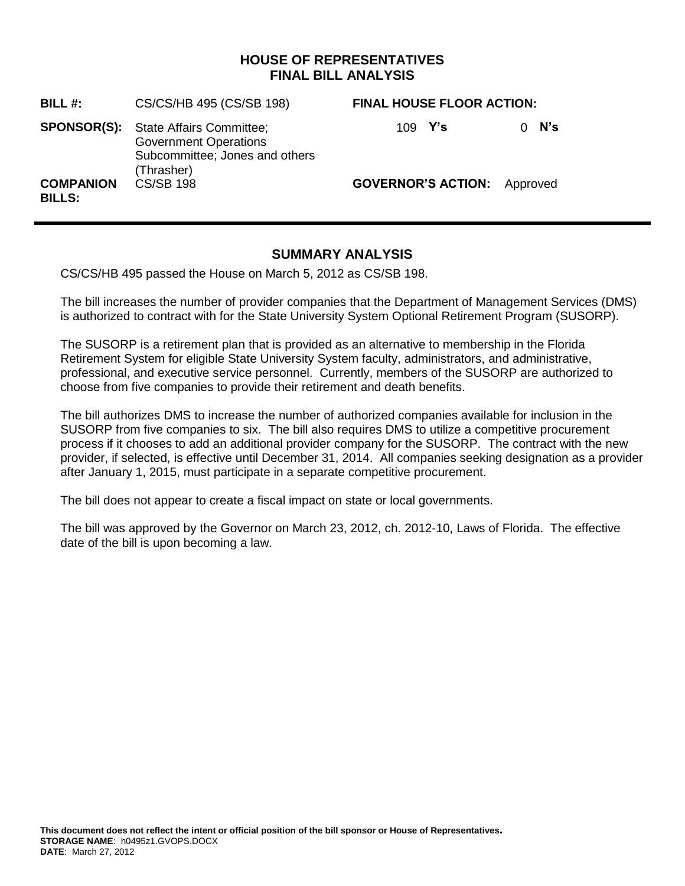### **HOUSE OF REPRESENTATIVES FINAL BILL ANALYSIS**

| BILL#:                            | CS/CS/HB 495 (CS/SB 198)                                                                                                    | <b>FINAL HOUSE FLOOR ACTION:</b>   |                 |
|-----------------------------------|-----------------------------------------------------------------------------------------------------------------------------|------------------------------------|-----------------|
|                                   | <b>SPONSOR(S):</b> State Affairs Committee;<br><b>Government Operations</b><br>Subcommittee; Jones and others<br>(Thrasher) | 109 $Y's$                          | N's<br>$\Omega$ |
| <b>COMPANION</b><br><b>BILLS:</b> | <b>CS/SB 198</b>                                                                                                            | <b>GOVERNOR'S ACTION:</b> Approved |                 |

# **SUMMARY ANALYSIS**

CS/CS/HB 495 passed the House on March 5, 2012 as CS/SB 198.

The bill increases the number of provider companies that the Department of Management Services (DMS) is authorized to contract with for the State University System Optional Retirement Program (SUSORP).

The SUSORP is a retirement plan that is provided as an alternative to membership in the Florida Retirement System for eligible State University System faculty, administrators, and administrative, professional, and executive service personnel. Currently, members of the SUSORP are authorized to choose from five companies to provide their retirement and death benefits.

The bill authorizes DMS to increase the number of authorized companies available for inclusion in the SUSORP from five companies to six. The bill also requires DMS to utilize a competitive procurement process if it chooses to add an additional provider company for the SUSORP. The contract with the new provider, if selected, is effective until December 31, 2014. All companies seeking designation as a provider after January 1, 2015, must participate in a separate competitive procurement.

The bill does not appear to create a fiscal impact on state or local governments.

The bill was approved by the Governor on March 23, 2012, ch. 2012-10, Laws of Florida. The effective date of the bill is upon becoming a law.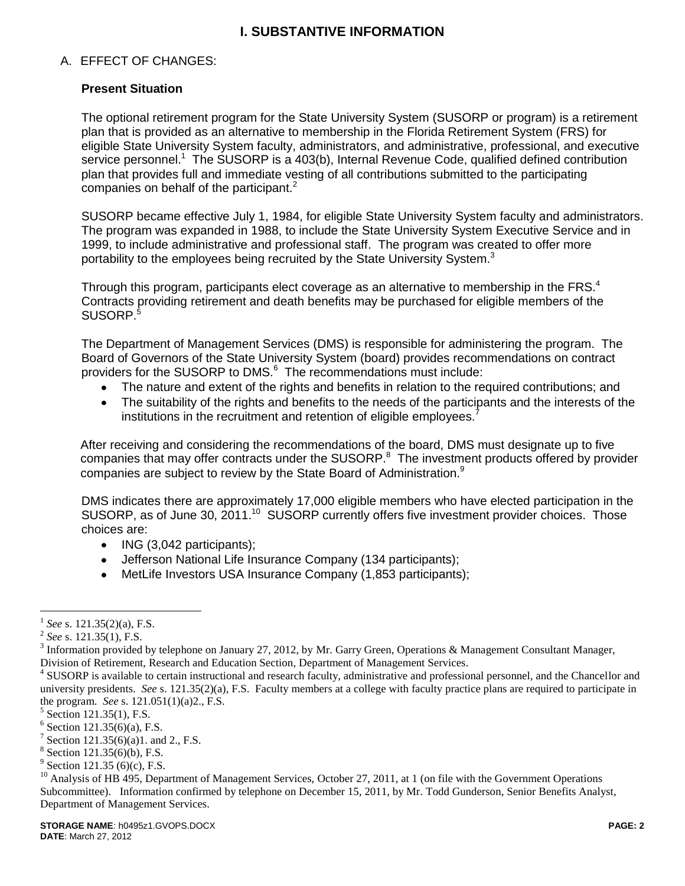## **I. SUBSTANTIVE INFORMATION**

#### A. EFFECT OF CHANGES:

#### **Present Situation**

The optional retirement program for the State University System (SUSORP or program) is a retirement plan that is provided as an alternative to membership in the Florida Retirement System (FRS) for eligible State University System faculty, administrators, and administrative, professional, and executive service personnel.<sup>1</sup> The SUSORP is a 403(b), Internal Revenue Code, qualified defined contribution plan that provides full and immediate vesting of all contributions submitted to the participating companies on behalf of the participant. $<sup>2</sup>$ </sup>

SUSORP became effective July 1, 1984, for eligible State University System faculty and administrators. The program was expanded in 1988, to include the State University System Executive Service and in 1999, to include administrative and professional staff. The program was created to offer more portability to the employees being recruited by the State University System.<sup>3</sup>

Through this program, participants elect coverage as an alternative to membership in the FRS. $4$ Contracts providing retirement and death benefits may be purchased for eligible members of the SUSORP.<sup>5</sup>

The Department of Management Services (DMS) is responsible for administering the program. The Board of Governors of the State University System (board) provides recommendations on contract providers for the SUSORP to DMS.<sup>6</sup> The recommendations must include:

- The nature and extent of the rights and benefits in relation to the required contributions; and
- The suitability of the rights and benefits to the needs of the participants and the interests of the  $\bullet$ institutions in the recruitment and retention of eligible employees.<sup>7</sup>

After receiving and considering the recommendations of the board, DMS must designate up to five companies that may offer contracts under the SUSORP. $8$  The investment products offered by provider companies are subject to review by the State Board of Administration.<sup>9</sup>

DMS indicates there are approximately 17,000 eligible members who have elected participation in the SUSORP, as of June 30, 2011.<sup>10</sup> SUSORP currently offers five investment provider choices. Those choices are:

- $\bullet$  ING (3,042 participants);
- Jefferson National Life Insurance Company (134 participants);
- MetLife Investors USA Insurance Company (1,853 participants);

 $\overline{a}$ 

<sup>1</sup> *See* s. 121.35(2)(a), F.S.

<sup>2</sup> *See* s. 121.35(1), F.S.

<sup>&</sup>lt;sup>3</sup> Information provided by telephone on January 27, 2012, by Mr. Garry Green, Operations & Management Consultant Manager, Division of Retirement, Research and Education Section, Department of Management Services.

<sup>&</sup>lt;sup>4</sup> SUSORP is available to certain instructional and research faculty, administrative and professional personnel, and the Chancellor and university presidents. *See* s. 121.35(2)(a), F.S. Faculty members at a college with faculty practice plans are required to participate in the program. *See* s. 121.051(1)(a)2., F.S.

<sup>&</sup>lt;sup>5</sup> Section 121.35(1), F.S.

 $6$  Section 121.35(6)(a), F.S.

<sup>&</sup>lt;sup>7</sup> Section 121.35(6)(a)1. and 2., F.S.

<sup>8</sup> Section 121.35(6)(b), F.S.

 $9^9$  Section 121.35 (6)(c), F.S.

<sup>&</sup>lt;sup>10</sup> Analysis of HB 495, Department of Management Services, October 27, 2011, at 1 (on file with the Government Operations Subcommittee). Information confirmed by telephone on December 15, 2011, by Mr. Todd Gunderson, Senior Benefits Analyst, Department of Management Services.